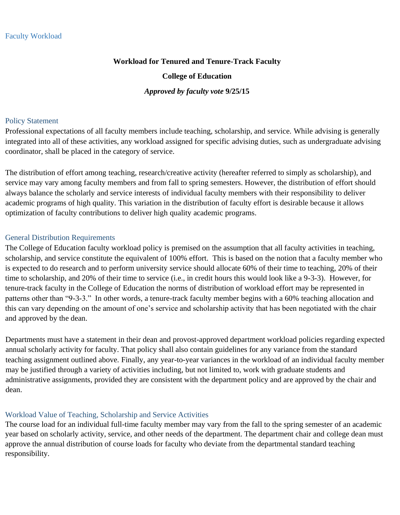### **Workload for Tenured and Tenure-Track Faculty**

#### **College of Education**

#### *Approved by faculty vote* **9/25/15**

#### Policy Statement

Professional expectations of all faculty members include teaching, scholarship, and service. While advising is generally integrated into all of these activities, any workload assigned for specific advising duties, such as undergraduate advising coordinator, shall be placed in the category of service.

The distribution of effort among teaching, research/creative activity (hereafter referred to simply as scholarship), and service may vary among faculty members and from fall to spring semesters. However, the distribution of effort should always balance the scholarly and service interests of individual faculty members with their responsibility to deliver academic programs of high quality. This variation in the distribution of faculty effort is desirable because it allows optimization of faculty contributions to deliver high quality academic programs.

#### General Distribution Requirements

The College of Education faculty workload policy is premised on the assumption that all faculty activities in teaching, scholarship, and service constitute the equivalent of 100% effort. This is based on the notion that a faculty member who is expected to do research and to perform university service should allocate 60% of their time to teaching, 20% of their time to scholarship, and 20% of their time to service (i.e., in credit hours this would look like a 9-3-3). However, for tenure-track faculty in the College of Education the norms of distribution of workload effort may be represented in patterns other than "9-3-3." In other words, a tenure-track faculty member begins with a 60% teaching allocation and this can vary depending on the amount of one's service and scholarship activity that has been negotiated with the chair and approved by the dean.

Departments must have a statement in their dean and provost-approved department workload policies regarding expected annual scholarly activity for faculty. That policy shall also contain guidelines for any variance from the standard teaching assignment outlined above. Finally, any year-to-year variances in the workload of an individual faculty member may be justified through a variety of activities including, but not limited to, work with graduate students and administrative assignments, provided they are consistent with the department policy and are approved by the chair and dean.

#### Workload Value of Teaching, Scholarship and Service Activities

The course load for an individual full-time faculty member may vary from the fall to the spring semester of an academic year based on scholarly activity, service, and other needs of the department. The department chair and college dean must approve the annual distribution of course loads for faculty who deviate from the departmental standard teaching responsibility.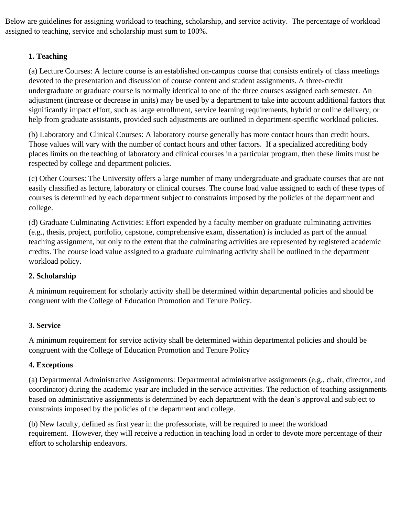Below are guidelines for assigning workload to teaching, scholarship, and service activity. The percentage of workload assigned to teaching, service and scholarship must sum to 100%.

# **1. Teaching**

(a) Lecture Courses: A lecture course is an established on-campus course that consists entirely of class meetings devoted to the presentation and discussion of course content and student assignments. A three-credit undergraduate or graduate course is normally identical to one of the three courses assigned each semester. An adjustment (increase or decrease in units) may be used by a department to take into account additional factors that significantly impact effort, such as large enrollment, service learning requirements, hybrid or online delivery, or help from graduate assistants, provided such adjustments are outlined in department-specific workload policies.

(b) Laboratory and Clinical Courses: A laboratory course generally has more contact hours than credit hours. Those values will vary with the number of contact hours and other factors. If a specialized accrediting body places limits on the teaching of laboratory and clinical courses in a particular program, then these limits must be respected by college and department policies.

(c) Other Courses: The University offers a large number of many undergraduate and graduate courses that are not easily classified as lecture, laboratory or clinical courses. The course load value assigned to each of these types of courses is determined by each department subject to constraints imposed by the policies of the department and college.

(d) Graduate Culminating Activities: Effort expended by a faculty member on graduate culminating activities (e.g., thesis, project, portfolio, capstone, comprehensive exam, dissertation) is included as part of the annual teaching assignment, but only to the extent that the culminating activities are represented by registered academic credits. The course load value assigned to a graduate culminating activity shall be outlined in the department workload policy.

# **2. Scholarship**

A minimum requirement for scholarly activity shall be determined within departmental policies and should be congruent with the College of Education Promotion and Tenure Policy.

# **3. Service**

A minimum requirement for service activity shall be determined within departmental policies and should be congruent with the College of Education Promotion and Tenure Policy

# **4. Exceptions**

(a) Departmental Administrative Assignments: Departmental administrative assignments (e.g., chair, director, and coordinator) during the academic year are included in the service activities. The reduction of teaching assignments based on administrative assignments is determined by each department with the dean's approval and subject to constraints imposed by the policies of the department and college.

(b) New faculty, defined as first year in the professoriate, will be required to meet the workload requirement. However, they will receive a reduction in teaching load in order to devote more percentage of their effort to scholarship endeavors.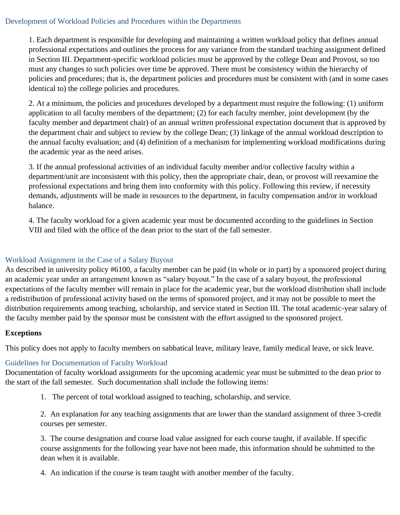### Development of Workload Policies and Procedures within the Departments

1. Each department is responsible for developing and maintaining a written workload policy that defines annual professional expectations and outlines the process for any variance from the standard teaching assignment defined in Section III. Department-specific workload policies must be approved by the college Dean and Provost, so too must any changes to such policies over time be approved. There must be consistency within the hierarchy of policies and procedures; that is, the department policies and procedures must be consistent with (and in some cases identical to) the college policies and procedures.

2. At a minimum, the policies and procedures developed by a department must require the following: (1) uniform application to all faculty members of the department; (2) for each faculty member, joint development (by the faculty member and department chair) of an annual written professional expectation document that is approved by the department chair and subject to review by the college Dean; (3) linkage of the annual workload description to the annual faculty evaluation; and (4) definition of a mechanism for implementing workload modifications during the academic year as the need arises.

3. If the annual professional activities of an individual faculty member and/or collective faculty within a department/unit are inconsistent with this policy, then the appropriate chair, dean, or provost will reexamine the professional expectations and bring them into conformity with this policy. Following this review, if necessity demands, adjustments will be made in resources to the department, in faculty compensation and/or in workload balance.

4. The faculty workload for a given academic year must be documented according to the guidelines in Section VIII and filed with the office of the dean prior to the start of the fall semester.

# Workload Assignment in the Case of a Salary Buyout

As described in university policy #6100, a faculty member can be paid (in whole or in part) by a sponsored project during an academic year under an arrangement known as "salary buyout." In the case of a salary buyout, the professional expectations of the faculty member will remain in place for the academic year, but the workload distribution shall include a redistribution of professional activity based on the terms of sponsored project, and it may not be possible to meet the distribution requirements among teaching, scholarship, and service stated in Section III. The total academic-year salary of the faculty member paid by the sponsor must be consistent with the effort assigned to the sponsored project.

### **Exceptions**

This policy does not apply to faculty members on sabbatical leave, military leave, family medical leave, or sick leave.

# Guidelines for Documentation of Faculty Workload

Documentation of faculty workload assignments for the upcoming academic year must be submitted to the dean prior to the start of the fall semester. Such documentation shall include the following items:

1. The percent of total workload assigned to teaching, scholarship, and service.

2. An explanation for any teaching assignments that are lower than the standard assignment of three 3-credit courses per semester.

3. The course designation and course load value assigned for each course taught, if available. If specific course assignments for the following year have not been made, this information should be submitted to the dean when it is available.

4. An indication if the course is team taught with another member of the faculty.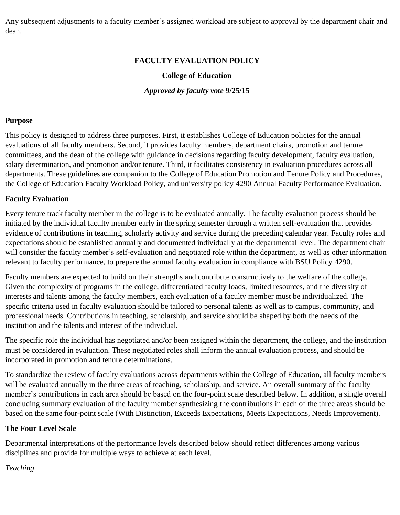Any subsequent adjustments to a faculty member's assigned workload are subject to approval by the department chair and dean.

## **FACULTY EVALUATION POLICY**

# **College of Education**

*Approved by faculty vote* **9/25/15**

#### **Purpose**

This policy is designed to address three purposes. First, it establishes College of Education policies for the annual evaluations of all faculty members. Second, it provides faculty members, department chairs, promotion and tenure committees, and the dean of the college with guidance in decisions regarding faculty development, faculty evaluation, salary determination, and promotion and/or tenure. Third, it facilitates consistency in evaluation procedures across all departments. These guidelines are companion to the College of Education Promotion and Tenure Policy and Procedures, the College of Education Faculty Workload Policy, and university policy 4290 Annual Faculty Performance Evaluation.

#### **Faculty Evaluation**

Every tenure track faculty member in the college is to be evaluated annually. The faculty evaluation process should be initiated by the individual faculty member early in the spring semester through a written self-evaluation that provides evidence of contributions in teaching, scholarly activity and service during the preceding calendar year. Faculty roles and expectations should be established annually and documented individually at the departmental level. The department chair will consider the faculty member's self-evaluation and negotiated role within the department, as well as other information relevant to faculty performance, to prepare the annual faculty evaluation in compliance with BSU Policy 4290.

Faculty members are expected to build on their strengths and contribute constructively to the welfare of the college. Given the complexity of programs in the college, differentiated faculty loads, limited resources, and the diversity of interests and talents among the faculty members, each evaluation of a faculty member must be individualized. The specific criteria used in faculty evaluation should be tailored to personal talents as well as to campus, community, and professional needs. Contributions in teaching, scholarship, and service should be shaped by both the needs of the institution and the talents and interest of the individual.

The specific role the individual has negotiated and/or been assigned within the department, the college, and the institution must be considered in evaluation. These negotiated roles shall inform the annual evaluation process, and should be incorporated in promotion and tenure determinations.

To standardize the review of faculty evaluations across departments within the College of Education, all faculty members will be evaluated annually in the three areas of teaching, scholarship, and service. An overall summary of the faculty member's contributions in each area should be based on the four-point scale described below. In addition, a single overall concluding summary evaluation of the faculty member synthesizing the contributions in each of the three areas should be based on the same four-point scale (With Distinction, Exceeds Expectations, Meets Expectations, Needs Improvement).

### **The Four Level Scale**

Departmental interpretations of the performance levels described below should reflect differences among various disciplines and provide for multiple ways to achieve at each level.

### *Teaching.*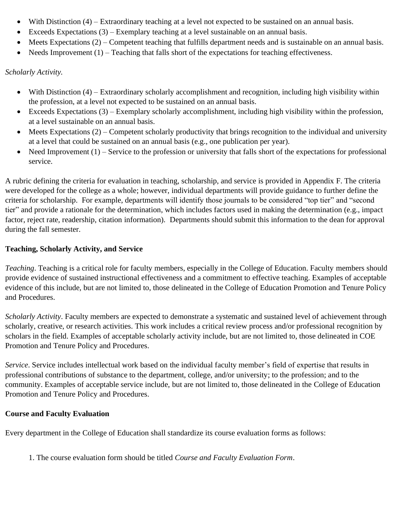- With Distinction (4) Extraordinary teaching at a level not expected to be sustained on an annual basis.
- Exceeds Expectations  $(3)$  Exemplary teaching at a level sustainable on an annual basis.
- Meets Expectations (2) Competent teaching that fulfills department needs and is sustainable on an annual basis.
- Needs Improvement  $(1)$  Teaching that falls short of the expectations for teaching effectiveness.

### *Scholarly Activity.*

- With Distinction (4) Extraordinary scholarly accomplishment and recognition, including high visibility within the profession, at a level not expected to be sustained on an annual basis.
- Exceeds Expectations (3) Exemplary scholarly accomplishment, including high visibility within the profession, at a level sustainable on an annual basis.
- Meets Expectations (2) Competent scholarly productivity that brings recognition to the individual and university at a level that could be sustained on an annual basis (e.g., one publication per year).
- Need Improvement  $(1)$  Service to the profession or university that falls short of the expectations for professional service.

A rubric defining the criteria for evaluation in teaching, scholarship, and service is provided in Appendix F. The criteria were developed for the college as a whole; however, individual departments will provide guidance to further define the criteria for scholarship. For example, departments will identify those journals to be considered "top tier" and "second tier" and provide a rationale for the determination, which includes factors used in making the determination (e.g., impact factor, reject rate, readership, citation information). Departments should submit this information to the dean for approval during the fall semester.

# **Teaching, Scholarly Activity, and Service**

*Teaching*. Teaching is a critical role for faculty members, especially in the College of Education. Faculty members should provide evidence of sustained instructional effectiveness and a commitment to effective teaching. Examples of acceptable evidence of this include, but are not limited to, those delineated in the College of Education Promotion and Tenure Policy and Procedures.

*Scholarly Activity*. Faculty members are expected to demonstrate a systematic and sustained level of achievement through scholarly, creative, or research activities. This work includes a critical review process and/or professional recognition by scholars in the field. Examples of acceptable scholarly activity include, but are not limited to, those delineated in COE Promotion and Tenure Policy and Procedures.

*Service*. Service includes intellectual work based on the individual faculty member's field of expertise that results in professional contributions of substance to the department, college, and/or university; to the profession; and to the community. Examples of acceptable service include, but are not limited to, those delineated in the College of Education Promotion and Tenure Policy and Procedures.

### **Course and Faculty Evaluation**

Every department in the College of Education shall standardize its course evaluation forms as follows:

1. The course evaluation form should be titled *Course and Faculty Evaluation Form*.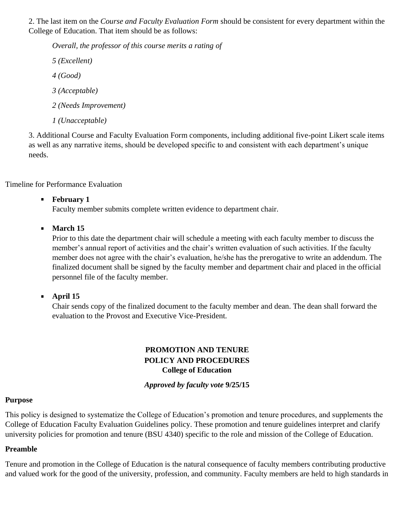2. The last item on the *Course and Faculty Evaluation Form* should be consistent for every department within the College of Education. That item should be as follows:

*Overall, the professor of this course merits a rating of 5 (Excellent) 4 (Good) 3 (Acceptable) 2 (Needs Improvement) 1 (Unacceptable)* 

3. Additional Course and Faculty Evaluation Form components, including additional five-point Likert scale items as well as any narrative items, should be developed specific to and consistent with each department's unique needs.

Timeline for Performance Evaluation

# **February 1**

Faculty member submits complete written evidence to department chair.

# **March 15**

Prior to this date the department chair will schedule a meeting with each faculty member to discuss the member's annual report of activities and the chair's written evaluation of such activities. If the faculty member does not agree with the chair's evaluation, he/she has the prerogative to write an addendum. The finalized document shall be signed by the faculty member and department chair and placed in the official personnel file of the faculty member.

**April 15**

Chair sends copy of the finalized document to the faculty member and dean. The dean shall forward the evaluation to the Provost and Executive Vice-President.

# **PROMOTION AND TENURE POLICY AND PROCEDURES College of Education**

*Approved by faculty vote* **9/25/15**

### **Purpose**

This policy is designed to systematize the College of Education's promotion and tenure procedures, and supplements the College of Education Faculty Evaluation Guidelines policy. These promotion and tenure guidelines interpret and clarify university policies for promotion and tenure (BSU 4340) specific to the role and mission of the College of Education.

# **Preamble**

Tenure and promotion in the College of Education is the natural consequence of faculty members contributing productive and valued work for the good of the university, profession, and community. Faculty members are held to high standards in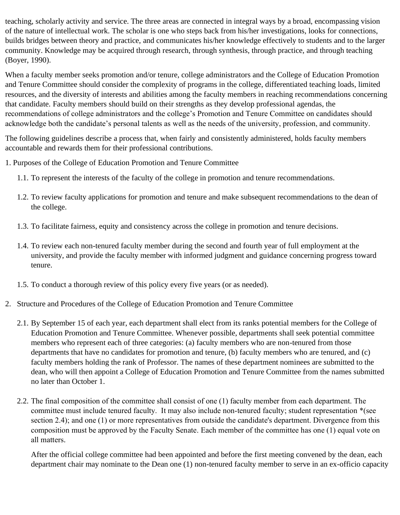teaching, scholarly activity and service. The three areas are connected in integral ways by a broad, encompassing vision of the nature of intellectual work. The scholar is one who steps back from his/her investigations, looks for connections, builds bridges between theory and practice, and communicates his/her knowledge effectively to students and to the larger community. Knowledge may be acquired through research, through synthesis, through practice, and through teaching (Boyer, 1990).

When a faculty member seeks promotion and/or tenure, college administrators and the College of Education Promotion and Tenure Committee should consider the complexity of programs in the college, differentiated teaching loads, limited resources, and the diversity of interests and abilities among the faculty members in reaching recommendations concerning that candidate. Faculty members should build on their strengths as they develop professional agendas, the recommendations of college administrators and the college's Promotion and Tenure Committee on candidates should acknowledge both the candidate's personal talents as well as the needs of the university, profession, and community.

The following guidelines describe a process that, when fairly and consistently administered, holds faculty members accountable and rewards them for their professional contributions.

- 1. Purposes of the College of Education Promotion and Tenure Committee
	- 1.1. To represent the interests of the faculty of the college in promotion and tenure recommendations.
	- 1.2. To review faculty applications for promotion and tenure and make subsequent recommendations to the dean of the college.
	- 1.3. To facilitate fairness, equity and consistency across the college in promotion and tenure decisions.
	- 1.4. To review each non-tenured faculty member during the second and fourth year of full employment at the university, and provide the faculty member with informed judgment and guidance concerning progress toward tenure.
	- 1.5. To conduct a thorough review of this policy every five years (or as needed).
- 2. Structure and Procedures of the College of Education Promotion and Tenure Committee
	- 2.1. By September 15 of each year, each department shall elect from its ranks potential members for the College of Education Promotion and Tenure Committee. Whenever possible, departments shall seek potential committee members who represent each of three categories: (a) faculty members who are non-tenured from those departments that have no candidates for promotion and tenure, (b) faculty members who are tenured, and (c) faculty members holding the rank of Professor. The names of these department nominees are submitted to the dean, who will then appoint a College of Education Promotion and Tenure Committee from the names submitted no later than October 1.
	- 2.2. The final composition of the committee shall consist of one (1) faculty member from each department. The committee must include tenured faculty. It may also include non-tenured faculty; student representation \*(see section 2.4); and one (1) or more representatives from outside the candidate's department. Divergence from this composition must be approved by the Faculty Senate. Each member of the committee has one (1) equal vote on all matters.

After the official college committee had been appointed and before the first meeting convened by the dean, each department chair may nominate to the Dean one (1) non-tenured faculty member to serve in an ex-officio capacity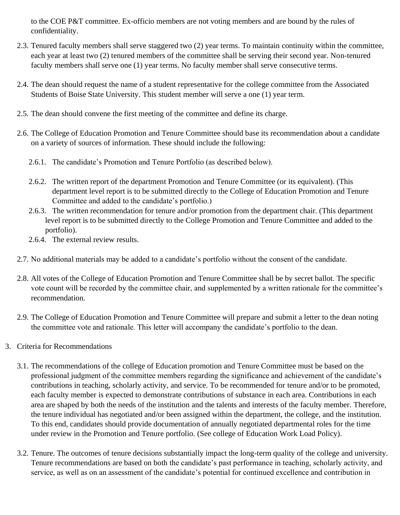to the COE P&T committee. Ex-officio members are not voting members and are bound by the rules of confidentiality.

- 2.3. Tenured faculty members shall serve staggered two (2) year terms. To maintain continuity within the committee, each year at least two (2) tenured members of the committee shall be serving their second year. Non-tenured faculty members shall serve one (1) year terms. No faculty member shall serve consecutive terms.
- 2.4. The dean should request the name of a student representative for the college committee from the Associated Students of Boise State University. This student member will serve a one (1) year term.
- 2.5. The dean should convene the first meeting of the committee and define its charge.
- 2.6. The College of Education Promotion and Tenure Committee should base its recommendation about a candidate on a variety of sources of information. These should include the following:
	- 2.6.1. The candidate's Promotion and Tenure Portfolio (as described below).
	- 2.6.2. The written report of the department Promotion and Tenure Committee (or its equivalent). (This department level report is to be submitted directly to the College of Education Promotion and Tenure Committee and added to the candidate's portfolio.)
	- 2.6.3. The written recommendation for tenure and/or promotion from the department chair. (This department level report is to be submitted directly to the College Promotion and Tenure Committee and added to the portfolio).
	- 2.6.4. The external review results.
- 2.7. No additional materials may be added to a candidate's portfolio without the consent of the candidate.
- 2.8. All votes of the College of Education Promotion and Tenure Committee shall be by secret ballot. The specific vote count will be recorded by the committee chair, and supplemented by a written rationale for the committee's recommendation.
- 2.9. The College of Education Promotion and Tenure Committee will prepare and submit a letter to the dean noting the committee vote and rationale. This letter will accompany the candidate's portfolio to the dean.
- 3. Criteria for Recommendations
	- 3.1. The recommendations of the college of Education promotion and Tenure Committee must be based on the professional judgment of the committee members regarding the significance and achievement of the candidate's contributions in teaching, scholarly activity, and service. To be recommended for tenure and/or to be promoted, each faculty member is expected to demonstrate contributions of substance in each area. Contributions in each area are shaped by both the needs of the institution and the talents and interests of the faculty member. Therefore, the tenure individual has negotiated and/or been assigned within the department, the college, and the institution. To this end, candidates should provide documentation of annually negotiated departmental roles for the time under review in the Promotion and Tenure portfolio. (See college of Education Work Load Policy).
	- 3.2. Tenure. The outcomes of tenure decisions substantially impact the long-term quality of the college and university. Tenure recommendations are based on both the candidate's past performance in teaching, scholarly activity, and service, as well as on an assessment of the candidate's potential for continued excellence and contribution in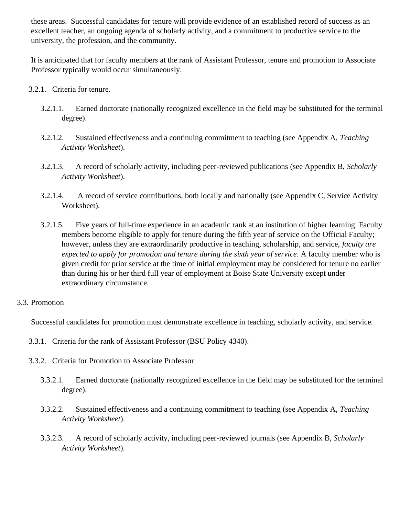these areas. Successful candidates for tenure will provide evidence of an established record of success as an excellent teacher, an ongoing agenda of scholarly activity, and a commitment to productive service to the university, the profession, and the community.

It is anticipated that for faculty members at the rank of Assistant Professor, tenure and promotion to Associate Professor typically would occur simultaneously.

- 3.2.1. Criteria for tenure.
	- 3.2.1.1. Earned doctorate (nationally recognized excellence in the field may be substituted for the terminal degree).
	- 3.2.1.2. Sustained effectiveness and a continuing commitment to teaching (see Appendix A, *Teaching Activity Worksheet*).
	- 3.2.1.3. A record of scholarly activity, including peer-reviewed publications (see Appendix B, *Scholarly Activity Worksheet*).
	- 3.2.1.4. A record of service contributions, both locally and nationally (see Appendix C, Service Activity Worksheet).
	- 3.2.1.5. Five years of full-time experience in an academic rank at an institution of higher learning. Faculty members become eligible to apply for tenure during the fifth year of service on the Official Faculty; however, unless they are extraordinarily productive in teaching, scholarship, and service, *faculty are expected to apply for promotion and tenure during the sixth year of service*. A faculty member who is given credit for prior service at the time of initial employment may be considered for tenure no earlier than during his or her third full year of employment at Boise State University except under extraordinary circumstance.

# 3.3. Promotion

Successful candidates for promotion must demonstrate excellence in teaching, scholarly activity, and service.

- 3.3.1. Criteria for the rank of Assistant Professor (BSU Policy 4340).
- 3.3.2. Criteria for Promotion to Associate Professor
	- 3.3.2.1. Earned doctorate (nationally recognized excellence in the field may be substituted for the terminal degree).
	- 3.3.2.2. Sustained effectiveness and a continuing commitment to teaching (see Appendix A, *Teaching Activity Worksheet*).
	- 3.3.2.3. A record of scholarly activity, including peer-reviewed journals (see Appendix B, *Scholarly Activity Worksheet*).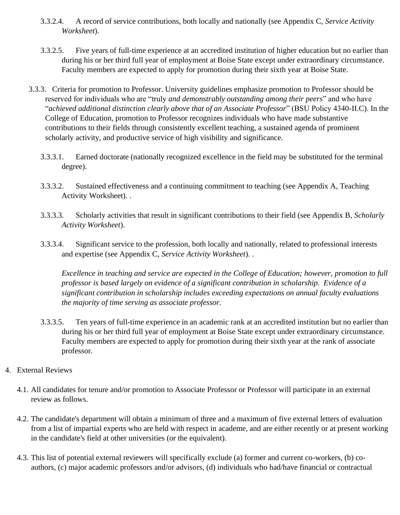- 3.3.2.4. A record of service contributions, both locally and nationally (see Appendix C, *Service Activity Worksheet*).
- 3.3.2.5. Five years of full-time experience at an accredited institution of higher education but no earlier than during his or her third full year of employment at Boise State except under extraordinary circumstance. Faculty members are expected to apply for promotion during their sixth year at Boise State.
- 3.3.3. Criteria for promotion to Professor. University guidelines emphasize promotion to Professor should be reserved for individuals who are "truly *and demonstrably outstanding among their peers*" and who have "*achieved additional distinction clearly above that of an Associate Professor*" (BSU Policy 4340-II.C). In the College of Education, promotion to Professor recognizes individuals who have made substantive contributions to their fields through consistently excellent teaching, a sustained agenda of prominent scholarly activity, and productive service of high visibility and significance.
	- 3.3.3.1. Earned doctorate (nationally recognized excellence in the field may be substituted for the terminal degree).
	- 3.3.3.2. Sustained effectiveness and a continuing commitment to teaching (see Appendix A, Teaching Activity Worksheet). .
	- 3.3.3.3. Scholarly activities that result in significant contributions to their field (see Appendix B, *Scholarly Activity Worksheet*).
	- 3.3.3.4. Significant service to the profession, both locally and nationally, related to professional interests and expertise (see Appendix C, *Service Activity Worksheet*). .

*Excellence in teaching and service are expected in the College of Education; however, promotion to full professor is based largely on evidence of a significant contribution in scholarship. Evidence of a significant contribution in scholarship includes exceeding expectations on annual faculty evaluations the majority of time serving as associate professor.* 

- 3.3.3.5. Ten years of full-time experience in an academic rank at an accredited institution but no earlier than during his or her third full year of employment at Boise State except under extraordinary circumstance. Faculty members are expected to apply for promotion during their sixth year at the rank of associate professor.
- 4. External Reviews
	- 4.1. All candidates for tenure and/or promotion to Associate Professor or Professor will participate in an external review as follows.
	- 4.2. The candidate's department will obtain a minimum of three and a maximum of five external letters of evaluation from a list of impartial experts who are held with respect in academe, and are either recently or at present working in the candidate's field at other universities (or the equivalent).
	- 4.3. This list of potential external reviewers will specifically exclude (a) former and current co-workers, (b) coauthors, (c) major academic professors and/or advisors, (d) individuals who had/have financial or contractual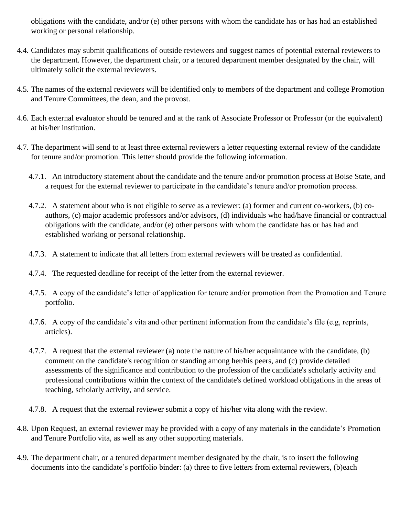obligations with the candidate, and/or (e) other persons with whom the candidate has or has had an established working or personal relationship.

- 4.4. Candidates may submit qualifications of outside reviewers and suggest names of potential external reviewers to the department. However, the department chair, or a tenured department member designated by the chair, will ultimately solicit the external reviewers.
- 4.5. The names of the external reviewers will be identified only to members of the department and college Promotion and Tenure Committees, the dean, and the provost.
- 4.6. Each external evaluator should be tenured and at the rank of Associate Professor or Professor (or the equivalent) at his/her institution.
- 4.7. The department will send to at least three external reviewers a letter requesting external review of the candidate for tenure and/or promotion. This letter should provide the following information.
	- 4.7.1. An introductory statement about the candidate and the tenure and/or promotion process at Boise State, and a request for the external reviewer to participate in the candidate's tenure and/or promotion process.
	- 4.7.2. A statement about who is not eligible to serve as a reviewer: (a) former and current co-workers, (b) coauthors, (c) major academic professors and/or advisors, (d) individuals who had/have financial or contractual obligations with the candidate, and/or (e) other persons with whom the candidate has or has had and established working or personal relationship.
	- 4.7.3. A statement to indicate that all letters from external reviewers will be treated as confidential.
	- 4.7.4. The requested deadline for receipt of the letter from the external reviewer.
	- 4.7.5. A copy of the candidate's letter of application for tenure and/or promotion from the Promotion and Tenure portfolio.
	- 4.7.6. A copy of the candidate's vita and other pertinent information from the candidate's file (e.g, reprints, articles).
	- 4.7.7. A request that the external reviewer (a) note the nature of his/her acquaintance with the candidate, (b) comment on the candidate's recognition or standing among her/his peers, and (c) provide detailed assessments of the significance and contribution to the profession of the candidate's scholarly activity and professional contributions within the context of the candidate's defined workload obligations in the areas of teaching, scholarly activity, and service.
	- 4.7.8. A request that the external reviewer submit a copy of his/her vita along with the review.
- 4.8. Upon Request, an external reviewer may be provided with a copy of any materials in the candidate's Promotion and Tenure Portfolio vita, as well as any other supporting materials.
- 4.9. The department chair, or a tenured department member designated by the chair, is to insert the following documents into the candidate's portfolio binder: (a) three to five letters from external reviewers, (b)each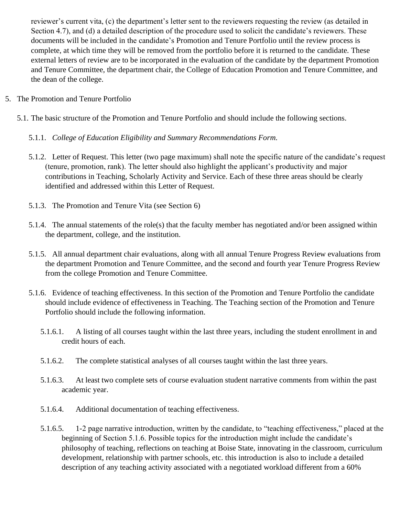reviewer's current vita, (c) the department's letter sent to the reviewers requesting the review (as detailed in Section 4.7), and (d) a detailed description of the procedure used to solicit the candidate's reviewers. These documents will be included in the candidate's Promotion and Tenure Portfolio until the review process is complete, at which time they will be removed from the portfolio before it is returned to the candidate. These external letters of review are to be incorporated in the evaluation of the candidate by the department Promotion and Tenure Committee, the department chair, the College of Education Promotion and Tenure Committee, and the dean of the college.

# 5. The Promotion and Tenure Portfolio

- 5.1. The basic structure of the Promotion and Tenure Portfolio and should include the following sections.
	- 5.1.1. *College of Education Eligibility and Summary Recommendations Form.*
	- 5.1.2. Letter of Request. This letter (two page maximum) shall note the specific nature of the candidate's request (tenure, promotion, rank). The letter should also highlight the applicant's productivity and major contributions in Teaching, Scholarly Activity and Service. Each of these three areas should be clearly identified and addressed within this Letter of Request.
	- 5.1.3. The Promotion and Tenure Vita (see Section 6)
	- 5.1.4. The annual statements of the role(s) that the faculty member has negotiated and/or been assigned within the department, college, and the institution.
	- 5.1.5. All annual department chair evaluations, along with all annual Tenure Progress Review evaluations from the department Promotion and Tenure Committee, and the second and fourth year Tenure Progress Review from the college Promotion and Tenure Committee.
	- 5.1.6. Evidence of teaching effectiveness. In this section of the Promotion and Tenure Portfolio the candidate should include evidence of effectiveness in Teaching. The Teaching section of the Promotion and Tenure Portfolio should include the following information.
		- 5.1.6.1. A listing of all courses taught within the last three years, including the student enrollment in and credit hours of each.
		- 5.1.6.2. The complete statistical analyses of all courses taught within the last three years.
		- 5.1.6.3. At least two complete sets of course evaluation student narrative comments from within the past academic year.
		- 5.1.6.4. Additional documentation of teaching effectiveness.
		- 5.1.6.5. 1-2 page narrative introduction, written by the candidate, to "teaching effectiveness," placed at the beginning of Section 5.1.6. Possible topics for the introduction might include the candidate's philosophy of teaching, reflections on teaching at Boise State, innovating in the classroom, curriculum development, relationship with partner schools, etc. this introduction is also to include a detailed description of any teaching activity associated with a negotiated workload different from a 60%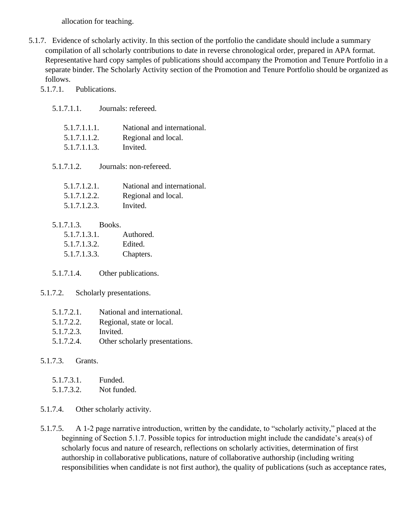allocation for teaching.

5.1.7. Evidence of scholarly activity. In this section of the portfolio the candidate should include a summary compilation of all scholarly contributions to date in reverse chronological order, prepared in APA format. Representative hard copy samples of publications should accompany the Promotion and Tenure Portfolio in a separate binder. The Scholarly Activity section of the Promotion and Tenure Portfolio should be organized as follows.

5.1.7.1. Publications.

5.1.7.1.1. Journals: refereed.

| National and international. |
|-----------------------------|
| Regional and local.         |
| Invited.                    |
|                             |

5.1.7.1.2. Journals: non-refereed.

| 5.1.7.1.2.1. | National and international. |
|--------------|-----------------------------|
| 5.1.7.1.2.2. | Regional and local.         |
| 5.1.7.1.2.3. | Invited.                    |

| 5.1.7.1.3.   | Books. |           |
|--------------|--------|-----------|
| 5.1.7.1.3.1. |        | Authored. |

5.1.7.1.3.2. Edited.

5.1.7.1.3.3. Chapters.

5.1.7.1.4. Other publications.

- 5.1.7.2. Scholarly presentations.
	- 5.1.7.2.1. National and international.
	- 5.1.7.2.2. Regional, state or local.
	- 5.1.7.2.3. Invited.
	- 5.1.7.2.4. Other scholarly presentations.

# 5.1.7.3. Grants.

| 5.1.7.3.1. | Funded.     |
|------------|-------------|
| 5.1.7.3.2. | Not funded. |

5.1.7.4. Other scholarly activity.

5.1.7.5. A 1-2 page narrative introduction, written by the candidate, to "scholarly activity," placed at the beginning of Section 5.1.7. Possible topics for introduction might include the candidate's area(s) of scholarly focus and nature of research, reflections on scholarly activities, determination of first authorship in collaborative publications, nature of collaborative authorship (including writing responsibilities when candidate is not first author), the quality of publications (such as acceptance rates,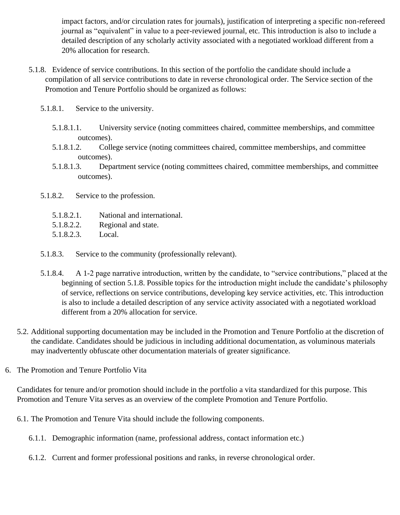impact factors, and/or circulation rates for journals), justification of interpreting a specific non-refereed journal as "equivalent" in value to a peer-reviewed journal, etc. This introduction is also to include a detailed description of any scholarly activity associated with a negotiated workload different from a 20% allocation for research.

- 5.1.8. Evidence of service contributions. In this section of the portfolio the candidate should include a compilation of all service contributions to date in reverse chronological order. The Service section of the Promotion and Tenure Portfolio should be organized as follows:
	- 5.1.8.1. Service to the university.
		- 5.1.8.1.1. University service (noting committees chaired, committee memberships, and committee outcomes).
		- 5.1.8.1.2. College service (noting committees chaired, committee memberships, and committee outcomes).
		- 5.1.8.1.3. Department service (noting committees chaired, committee memberships, and committee outcomes).
	- 5.1.8.2. Service to the profession.
		- 5.1.8.2.1. National and international.
		- 5.1.8.2.2. Regional and state.
		- 5.1.8.2.3. Local.
	- 5.1.8.3. Service to the community (professionally relevant).
	- 5.1.8.4. A 1-2 page narrative introduction, written by the candidate, to "service contributions," placed at the beginning of section 5.1.8. Possible topics for the introduction might include the candidate's philosophy of service, reflections on service contributions, developing key service activities, etc. This introduction is also to include a detailed description of any service activity associated with a negotiated workload different from a 20% allocation for service.
- 5.2. Additional supporting documentation may be included in the Promotion and Tenure Portfolio at the discretion of the candidate. Candidates should be judicious in including additional documentation, as voluminous materials may inadvertently obfuscate other documentation materials of greater significance.
- 6. The Promotion and Tenure Portfolio Vita

Candidates for tenure and/or promotion should include in the portfolio a vita standardized for this purpose. This Promotion and Tenure Vita serves as an overview of the complete Promotion and Tenure Portfolio.

- 6.1. The Promotion and Tenure Vita should include the following components.
	- 6.1.1. Demographic information (name, professional address, contact information etc.)
	- 6.1.2. Current and former professional positions and ranks, in reverse chronological order.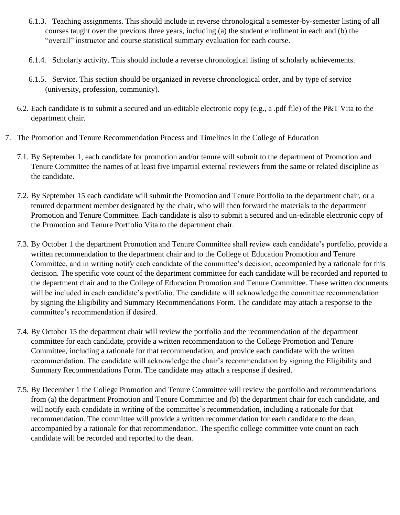- 6.1.3. Teaching assignments. This should include in reverse chronological a semester-by-semester listing of all courses taught over the previous three years, including (a) the student enrollment in each and (b) the "overall" instructor and course statistical summary evaluation for each course.
- 6.1.4. Scholarly activity. This should include a reverse chronological listing of scholarly achievements.
- 6.1.5. Service. This section should be organized in reverse chronological order, and by type of service (university, profession, community).
- 6.2. Each candidate is to submit a secured and un-editable electronic copy (e.g., a .pdf file) of the P&T Vita to the department chair.
- 7. The Promotion and Tenure Recommendation Process and Timelines in the College of Education
	- 7.1. By September 1, each candidate for promotion and/or tenure will submit to the department of Promotion and Tenure Committee the names of at least five impartial external reviewers from the same or related discipline as the candidate.
	- 7.2. By September 15 each candidate will submit the Promotion and Tenure Portfolio to the department chair, or a tenured department member designated by the chair, who will then forward the materials to the department Promotion and Tenure Committee. Each candidate is also to submit a secured and un-editable electronic copy of the Promotion and Tenure Portfolio Vita to the department chair.
	- 7.3. By October 1 the department Promotion and Tenure Committee shall review each candidate's portfolio, provide a written recommendation to the department chair and to the College of Education Promotion and Tenure Committee, and in writing notify each candidate of the committee's decision, accompanied by a rationale for this decision. The specific vote count of the department committee for each candidate will be recorded and reported to the department chair and to the College of Education Promotion and Tenure Committee. These written documents will be included in each candidate's portfolio. The candidate will acknowledge the committee recommendation by signing the Eligibility and Summary Recommendations Form. The candidate may attach a response to the committee's recommendation if desired.
	- 7.4. By October 15 the department chair will review the portfolio and the recommendation of the department committee for each candidate, provide a written recommendation to the College Promotion and Tenure Committee, including a rationale for that recommendation, and provide each candidate with the written recommendation. The candidate will acknowledge the chair's recommendation by signing the Eligibility and Summary Recommendations Form. The candidate may attach a response if desired.
	- 7.5. By December 1 the College Promotion and Tenure Committee will review the portfolio and recommendations from (a) the department Promotion and Tenure Committee and (b) the department chair for each candidate, and will notify each candidate in writing of the committee's recommendation, including a rationale for that recommendation. The committee will provide a written recommendation for each candidate to the dean, accompanied by a rationale for that recommendation. The specific college committee vote count on each candidate will be recorded and reported to the dean.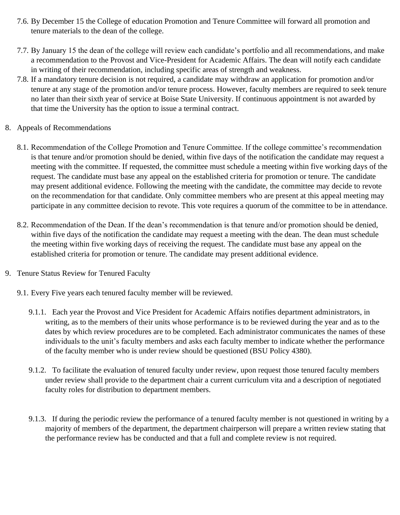- 7.6. By December 15 the College of education Promotion and Tenure Committee will forward all promotion and tenure materials to the dean of the college.
- 7.7. By January 15 the dean of the college will review each candidate's portfolio and all recommendations, and make a recommendation to the Provost and Vice-President for Academic Affairs. The dean will notify each candidate in writing of their recommendation, including specific areas of strength and weakness.
- 7.8. If a mandatory tenure decision is not required, a candidate may withdraw an application for promotion and/or tenure at any stage of the promotion and/or tenure process. However, faculty members are required to seek tenure no later than their sixth year of service at Boise State University. If continuous appointment is not awarded by that time the University has the option to issue a terminal contract.
- 8. Appeals of Recommendations
	- 8.1. Recommendation of the College Promotion and Tenure Committee. If the college committee's recommendation is that tenure and/or promotion should be denied, within five days of the notification the candidate may request a meeting with the committee. If requested, the committee must schedule a meeting within five working days of the request. The candidate must base any appeal on the established criteria for promotion or tenure. The candidate may present additional evidence. Following the meeting with the candidate, the committee may decide to revote on the recommendation for that candidate. Only committee members who are present at this appeal meeting may participate in any committee decision to revote. This vote requires a quorum of the committee to be in attendance.
	- 8.2. Recommendation of the Dean. If the dean's recommendation is that tenure and/or promotion should be denied, within five days of the notification the candidate may request a meeting with the dean. The dean must schedule the meeting within five working days of receiving the request. The candidate must base any appeal on the established criteria for promotion or tenure. The candidate may present additional evidence.
- 9. Tenure Status Review for Tenured Faculty
	- 9.1. Every Five years each tenured faculty member will be reviewed.
		- 9.1.1. Each year the Provost and Vice President for Academic Affairs notifies department administrators, in writing, as to the members of their units whose performance is to be reviewed during the year and as to the dates by which review procedures are to be completed. Each administrator communicates the names of these individuals to the unit's faculty members and asks each faculty member to indicate whether the performance of the faculty member who is under review should be questioned (BSU Policy 4380).
		- 9.1.2. To facilitate the evaluation of tenured faculty under review, upon request those tenured faculty members under review shall provide to the department chair a current curriculum vita and a description of negotiated faculty roles for distribution to department members.
		- 9.1.3. If during the periodic review the performance of a tenured faculty member is not questioned in writing by a majority of members of the department, the department chairperson will prepare a written review stating that the performance review has be conducted and that a full and complete review is not required.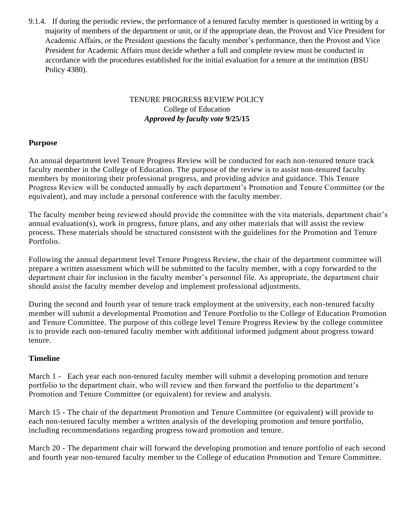9.1.4. If during the periodic review, the performance of a tenured faculty member is questioned in writing by a majority of members of the department or unit, or if the appropriate dean, the Provost and Vice President for Academic Affairs, or the President questions the faculty member's performance, then the Provost and Vice President for Academic Affairs must decide whether a full and complete review must be conducted in accordance with the procedures established for the initial evaluation for a tenure at the institution (BSU Policy 4380).

# TENURE PROGRESS REVIEW POLICY College of Education *Approved by faculty vote* **9/25/15**

# **Purpose**

An annual department level Tenure Progress Review will be conducted for each non-tenured tenure track faculty member in the College of Education. The purpose of the review is to assist non-tenured faculty members by monitoring their professional progress, and providing advice and guidance. This Tenure Progress Review will be conducted annually by each department's Promotion and Tenure Committee (or the equivalent), and may include a personal conference with the faculty member.

The faculty member being reviewed should provide the committee with the vita materials, department chair's annual evaluation(s), work in progress, future plans, and any other materials that will assist the review process. These materials should be structured consistent with the guidelines for the Promotion and Tenure Portfolio.

Following the annual department level Tenure Progress Review, the chair of the department committee will prepare a written assessment which will be submitted to the faculty member, with a copy forwarded to the department chair for inclusion in the faculty member's personnel file. As appropriate, the department chair should assist the faculty member develop and implement professional adjustments.

During the second and fourth year of tenure track employment at the university, each non-tenured faculty member will submit a developmental Promotion and Tenure Portfolio to the College of Education Promotion and Tenure Committee. The purpose of this college level Tenure Progress Review by the college committee is to provide each non-tenured faculty member with additional informed judgment about progress toward tenure.

# **Timeline**

March 1 - Each year each non-tenured faculty member will submit a developing promotion and tenure portfolio to the department chair, who will review and then forward the portfolio to the department's Promotion and Tenure Committee (or equivalent) for review and analysis.

March 15 - The chair of the department Promotion and Tenure Committee (or equivalent) will provide to each non-tenured faculty member a written analysis of the developing promotion and tenure portfolio, including recommendations regarding progress toward promotion and tenure.

March 20 - The department chair will forward the developing promotion and tenure portfolio of each second and fourth year non-tenured faculty member to the College of education Promotion and Tenure Committee.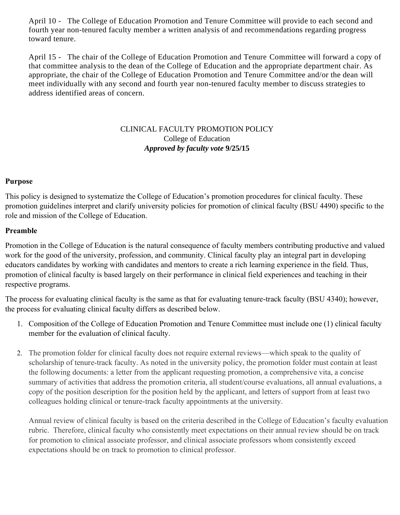April 10 - The College of Education Promotion and Tenure Committee will provide to each second and fourth year non-tenured faculty member a written analysis of and recommendations regarding progress toward tenure.

April 15 - The chair of the College of Education Promotion and Tenure Committee will forward a copy of that committee analysis to the dean of the College of Education and the appropriate department chair. As appropriate, the chair of the College of Education Promotion and Tenure Committee and/or the dean will meet individually with any second and fourth year non-tenured faculty member to discuss strategies to address identified areas of concern.

# CLINICAL FACULTY PROMOTION POLICY College of Education *Approved by faculty vote* **9/25/15**

### **Purpose**

This policy is designed to systematize the College of Education's promotion procedures for clinical faculty. These promotion guidelines interpret and clarify university policies for promotion of clinical faculty (BSU 4490) specific to the role and mission of the College of Education.

# **Preamble**

Promotion in the College of Education is the natural consequence of faculty members contributing productive and valued work for the good of the university, profession, and community. Clinical faculty play an integral part in developing educators candidates by working with candidates and mentors to create a rich learning experience in the field. Thus, promotion of clinical faculty is based largely on their performance in clinical field experiences and teaching in their respective programs.

The process for evaluating clinical faculty is the same as that for evaluating tenure-track faculty (BSU 4340); however, the process for evaluating clinical faculty differs as described below.

- 1. Composition of the College of Education Promotion and Tenure Committee must include one (1) clinical faculty member for the evaluation of clinical faculty.
- 2. The promotion folder for clinical faculty does not require external reviews—which speak to the quality of scholarship of tenure-track faculty. As noted in the university policy, the promotion folder must contain at least the following documents: a letter from the applicant requesting promotion, a comprehensive vita, a concise summary of activities that address the promotion criteria, all student/course evaluations, all annual evaluations, a copy of the position description for the position held by the applicant, and letters of support from at least two colleagues holding clinical or tenure-track faculty appointments at the university.

Annual review of clinical faculty is based on the criteria described in the College of Education's faculty evaluation rubric. Therefore, clinical faculty who consistently meet expectations on their annual review should be on track for promotion to clinical associate professor, and clinical associate professors whom consistently exceed expectations should be on track to promotion to clinical professor.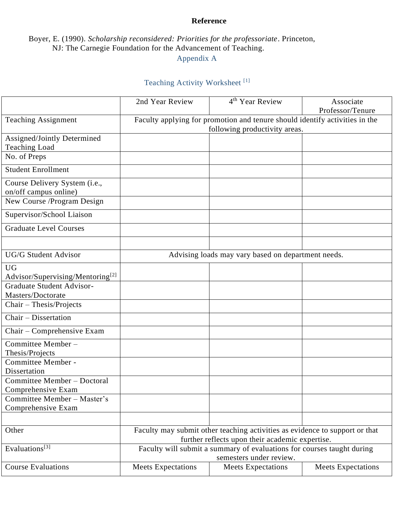# **Reference**

# Boyer, E. (1990). *Scholarship reconsidered: Priorities for the professoriate*. Princeton, NJ: The Carnegie Foundation for the Advancement of Teaching.

Appendix A

# Teaching Activity Worksheet [1]

|                                                                                      | 2nd Year Review                                                                                              | 4 <sup>th</sup> Year Review                                                                                                    | Associate<br>Professor/Tenure |  |  |
|--------------------------------------------------------------------------------------|--------------------------------------------------------------------------------------------------------------|--------------------------------------------------------------------------------------------------------------------------------|-------------------------------|--|--|
| <b>Teaching Assignment</b>                                                           | Faculty applying for promotion and tenure should identify activities in the<br>following productivity areas. |                                                                                                                                |                               |  |  |
| Assigned/Jointly Determined<br><b>Teaching Load</b><br>No. of Preps                  |                                                                                                              |                                                                                                                                |                               |  |  |
| <b>Student Enrollment</b>                                                            |                                                                                                              |                                                                                                                                |                               |  |  |
| Course Delivery System (i.e.,<br>on/off campus online)<br>New Course /Program Design |                                                                                                              |                                                                                                                                |                               |  |  |
| Supervisor/School Liaison                                                            |                                                                                                              |                                                                                                                                |                               |  |  |
| <b>Graduate Level Courses</b>                                                        |                                                                                                              |                                                                                                                                |                               |  |  |
|                                                                                      |                                                                                                              |                                                                                                                                |                               |  |  |
| <b>UG/G Student Advisor</b>                                                          |                                                                                                              | Advising loads may vary based on department needs.                                                                             |                               |  |  |
| <b>UG</b><br>Advisor/Supervising/Mentoring <sup>[2]</sup>                            |                                                                                                              |                                                                                                                                |                               |  |  |
| <b>Graduate Student Advisor-</b><br>Masters/Doctorate                                |                                                                                                              |                                                                                                                                |                               |  |  |
| Chair - Thesis/Projects                                                              |                                                                                                              |                                                                                                                                |                               |  |  |
| Chair - Dissertation                                                                 |                                                                                                              |                                                                                                                                |                               |  |  |
| Chair – Comprehensive Exam                                                           |                                                                                                              |                                                                                                                                |                               |  |  |
| Committee Member-<br>Thesis/Projects                                                 |                                                                                                              |                                                                                                                                |                               |  |  |
| Committee Member -<br>Dissertation                                                   |                                                                                                              |                                                                                                                                |                               |  |  |
| Committee Member - Doctoral<br>Comprehensive Exam                                    |                                                                                                              |                                                                                                                                |                               |  |  |
| Committee Member - Master's<br>Comprehensive Exam                                    |                                                                                                              |                                                                                                                                |                               |  |  |
| Other                                                                                |                                                                                                              | Faculty may submit other teaching activities as evidence to support or that<br>further reflects upon their academic expertise. |                               |  |  |
| Evaluations <sup>[3]</sup>                                                           | Faculty will submit a summary of evaluations for courses taught during<br>semesters under review.            |                                                                                                                                |                               |  |  |
| <b>Course Evaluations</b>                                                            | <b>Meets Expectations</b>                                                                                    | <b>Meets Expectations</b>                                                                                                      | <b>Meets Expectations</b>     |  |  |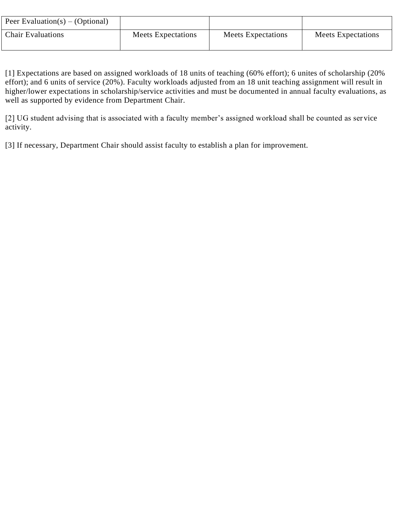| Peer Evaluation(s) – (Optional) |                    |                    |                    |
|---------------------------------|--------------------|--------------------|--------------------|
| <b>Chair Evaluations</b>        | Meets Expectations | Meets Expectations | Meets Expectations |

[1] Expectations are based on assigned workloads of 18 units of teaching (60% effort); 6 unites of scholarship (20% effort); and 6 units of service (20%). Faculty workloads adjusted from an 18 unit teaching assignment will result in higher/lower expectations in scholarship/service activities and must be documented in annual faculty evaluations, as well as supported by evidence from Department Chair.

[2] UG student advising that is associated with a faculty member's assigned workload shall be counted as ser vice activity.

[3] If necessary, Department Chair should assist faculty to establish a plan for improvement.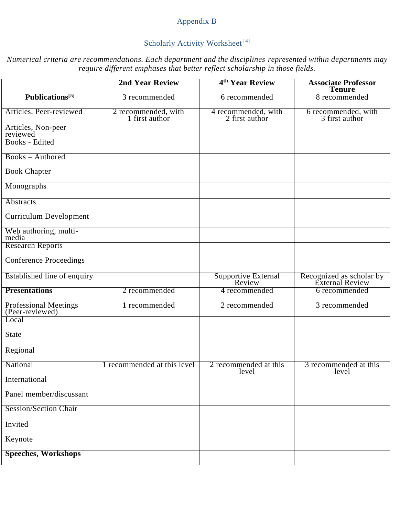# Appendix B

# Scholarly Activity Worksheet<sup>[4]</sup>

*Numerical criteria are recommendations. Each department and the disciplines represented within departments may require different emphases that better reflect scholarship in those fields.*

|                                                 | <b>2nd Year Review</b>                | 4 <sup>th</sup> Year Review           | <b>Associate Professor</b><br><b>Tenure</b> |
|-------------------------------------------------|---------------------------------------|---------------------------------------|---------------------------------------------|
| Publications <sup>[5]</sup>                     | 3 recommended                         | 6 recommended                         | 8 recommended                               |
| Articles, Peer-reviewed                         | 2 recommended, with<br>1 first author | 4 recommended, with<br>2 first author | 6 recommended, with<br>3 first author       |
| Articles, Non-peer<br>reviewed                  |                                       |                                       |                                             |
| Books - Edited                                  |                                       |                                       |                                             |
| <b>Books</b> – Authored                         |                                       |                                       |                                             |
| <b>Book Chapter</b>                             |                                       |                                       |                                             |
| Monographs                                      |                                       |                                       |                                             |
| <b>Abstracts</b>                                |                                       |                                       |                                             |
| <b>Curriculum Development</b>                   |                                       |                                       |                                             |
| Web authoring, multi-<br>media                  |                                       |                                       |                                             |
| <b>Research Reports</b>                         |                                       |                                       |                                             |
| <b>Conference Proceedings</b>                   |                                       |                                       |                                             |
| Established line of enquiry                     |                                       | Supportive External<br>Review         | Recognized as scholar by<br>External Review |
| <b>Presentations</b>                            | 2 recommended                         | 4 recommended                         | 6 recommended                               |
| <b>Professional Meetings</b><br>(Peer-reviewed) | 1 recommended                         | 2 recommended                         | 3 recommended                               |
| Local                                           |                                       |                                       |                                             |
| <b>State</b>                                    |                                       |                                       |                                             |
| Regional                                        |                                       |                                       |                                             |
| National                                        | 1 recommended at this level           | 2 recommended at this<br>level        | 3 recommended at this<br>level              |
| International                                   |                                       |                                       |                                             |
| Panel member/discussant                         |                                       |                                       |                                             |
| <b>Session/Section Chair</b>                    |                                       |                                       |                                             |
| Invited                                         |                                       |                                       |                                             |
| Keynote                                         |                                       |                                       |                                             |
| <b>Speeches, Workshops</b>                      |                                       |                                       |                                             |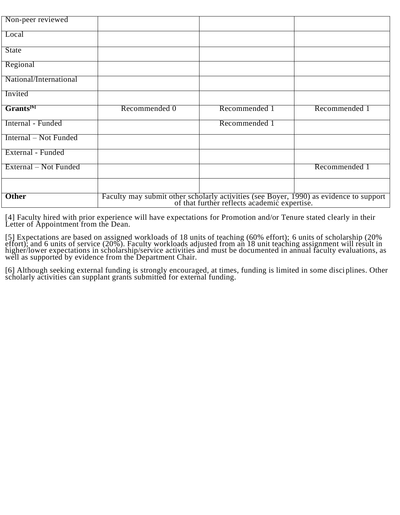| Non-peer reviewed      |                                                                                                                                        |               |               |
|------------------------|----------------------------------------------------------------------------------------------------------------------------------------|---------------|---------------|
| Local                  |                                                                                                                                        |               |               |
| <b>State</b>           |                                                                                                                                        |               |               |
| Regional               |                                                                                                                                        |               |               |
| National/International |                                                                                                                                        |               |               |
| Invited                |                                                                                                                                        |               |               |
| Grants <sup>[6]</sup>  | Recommended 0                                                                                                                          | Recommended 1 | Recommended 1 |
| Internal - Funded      |                                                                                                                                        | Recommended 1 |               |
| Internal – Not Funded  |                                                                                                                                        |               |               |
| External - Funded      |                                                                                                                                        |               |               |
| External – Not Funded  |                                                                                                                                        |               | Recommended 1 |
|                        |                                                                                                                                        |               |               |
| <b>Other</b>           | Faculty may submit other scholarly activities (see Boyer, 1990) as evidence to support<br>of that further reflects academic expertise. |               |               |

[4] Faculty hired with prior experience will have expectations for Promotion and/or Tenure stated clearly in their Letter of Appointment from the Dean.

[5] Expectations are based on assigned workloads of 18 units of teaching (60% effort); 6 units of scholarship (20% effort); and 6 units of service (20%). Faculty workloads adjusted from an 18 unit teaching assignment will result in higher/lower expectations in scholarship/service activities and must be documented in annual faculty evaluations, as well as supported by evidence from the Department Chair.

[6] Although seeking external funding is strongly encouraged, at times, funding is limited in some disciplines. Other scholarly activities can supplant grants submitted for external funding.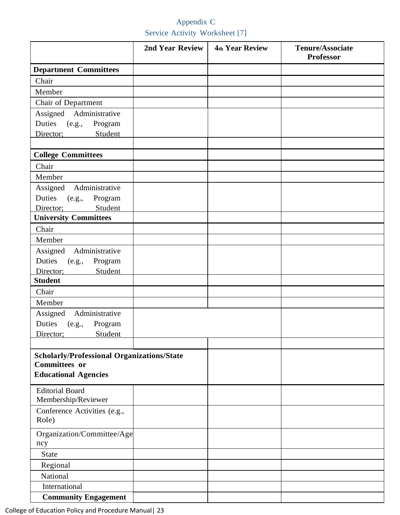# Appendix C Service Activity Worksheet [7]

|                                                   | 2nd Year Review | <b>4th Year Review</b> | Tenure/Associate<br><b>Professor</b> |
|---------------------------------------------------|-----------------|------------------------|--------------------------------------|
| <b>Department Committees</b>                      |                 |                        |                                      |
| Chair                                             |                 |                        |                                      |
| Member                                            |                 |                        |                                      |
| Chair of Department                               |                 |                        |                                      |
| Assigned Administrative                           |                 |                        |                                      |
| Duties (e.g., Program                             |                 |                        |                                      |
| Student<br>Director;                              |                 |                        |                                      |
|                                                   |                 |                        |                                      |
| <b>College Committees</b>                         |                 |                        |                                      |
| Chair                                             |                 |                        |                                      |
| Member                                            |                 |                        |                                      |
| Assigned Administrative                           |                 |                        |                                      |
| Duties (e.g., Program<br>Student<br>Director;     |                 |                        |                                      |
| <b>University Committees</b>                      |                 |                        |                                      |
| Chair                                             |                 |                        |                                      |
| Member                                            |                 |                        |                                      |
| Assigned Administrative                           |                 |                        |                                      |
| Duties (e.g.,<br>Program                          |                 |                        |                                      |
| Director;<br>Student                              |                 |                        |                                      |
| <b>Student</b>                                    |                 |                        |                                      |
| Chair                                             |                 |                        |                                      |
| Member                                            |                 |                        |                                      |
| Assigned Administrative                           |                 |                        |                                      |
| Duties (e.g.,<br>Program                          |                 |                        |                                      |
| Director; Student                                 |                 |                        |                                      |
|                                                   |                 |                        |                                      |
| <b>Scholarly/Professional Organizations/State</b> |                 |                        |                                      |
| <b>Committees or</b>                              |                 |                        |                                      |
| <b>Educational Agencies</b>                       |                 |                        |                                      |
| <b>Editorial Board</b><br>Membership/Reviewer     |                 |                        |                                      |
| Conference Activities (e.g.,<br>Role)             |                 |                        |                                      |
|                                                   |                 |                        |                                      |
| Organization/Committee/Age<br>ncy                 |                 |                        |                                      |
| State                                             |                 |                        |                                      |
| Regional                                          |                 |                        |                                      |
| National                                          |                 |                        |                                      |
| International                                     |                 |                        |                                      |
| <b>Community Engagement</b>                       |                 |                        |                                      |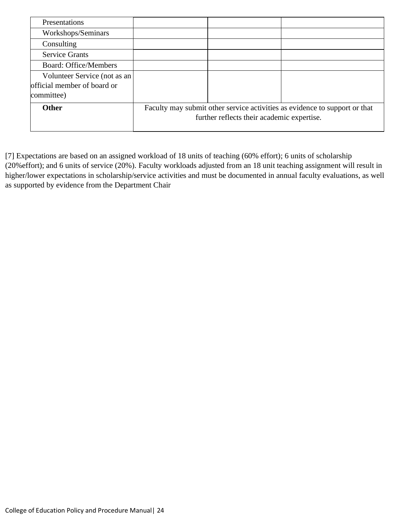| Presentations                                               |                                                                                                                          |  |  |  |
|-------------------------------------------------------------|--------------------------------------------------------------------------------------------------------------------------|--|--|--|
| Workshops/Seminars                                          |                                                                                                                          |  |  |  |
| Consulting                                                  |                                                                                                                          |  |  |  |
| <b>Service Grants</b>                                       |                                                                                                                          |  |  |  |
| <b>Board: Office/Members</b>                                |                                                                                                                          |  |  |  |
| Volunteer Service (not as an<br>official member of board or |                                                                                                                          |  |  |  |
| committee)                                                  |                                                                                                                          |  |  |  |
| <b>Other</b>                                                | Faculty may submit other service activities as evidence to support or that<br>further reflects their academic expertise. |  |  |  |

[7] Expectations are based on an assigned workload of 18 units of teaching (60% effort); 6 units of scholarship (20%effort); and 6 units of service (20%). Faculty workloads adjusted from an 18 unit teaching assignment will result in higher/lower expectations in scholarship/service activities and must be documented in annual faculty evaluations, as well as supported by evidence from the Department Chair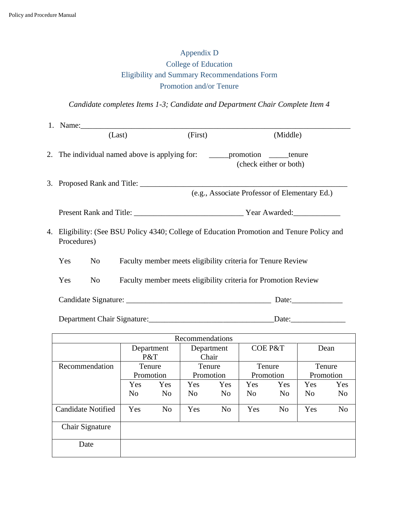# Appendix D College of Education Eligibility and Summary Recommendations Form Promotion and/or Tenure

# *Candidate completes Items 1-3; Candidate and Department Chair Complete Item 4*

|    |                                                                                         |                | 1. Name: |         |                                                                                                                 |  |  |
|----|-----------------------------------------------------------------------------------------|----------------|----------|---------|-----------------------------------------------------------------------------------------------------------------|--|--|
|    |                                                                                         |                | (Last)   | (First) | (Middle)                                                                                                        |  |  |
|    |                                                                                         |                |          |         | 2. The individual named above is applying for: ________________________________tenure<br>(check either or both) |  |  |
|    |                                                                                         |                |          |         |                                                                                                                 |  |  |
|    |                                                                                         |                |          |         | (e.g., Associate Professor of Elementary Ed.)                                                                   |  |  |
| 4. | Eligibility: (See BSU Policy 4340; College of Education Promotion and Tenure Policy and |                |          |         |                                                                                                                 |  |  |
|    | Procedures)                                                                             |                |          |         |                                                                                                                 |  |  |
|    | Yes                                                                                     | No             |          |         | Faculty member meets eligibility criteria for Tenure Review                                                     |  |  |
|    | Yes                                                                                     | N <sub>o</sub> |          |         | Faculty member meets eligibility criteria for Promotion Review                                                  |  |  |
|    |                                                                                         |                |          |         | Date:                                                                                                           |  |  |
|    |                                                                                         |                |          |         | Date:                                                                                                           |  |  |

| Recommendations           |                |                |                |                |                |                |           |                |  |
|---------------------------|----------------|----------------|----------------|----------------|----------------|----------------|-----------|----------------|--|
|                           | Department     |                |                | Department     |                | COE P&T        |           | Dean           |  |
|                           | P&T            |                |                | Chair          |                |                |           |                |  |
| Recommendation            | Tenure         |                | Tenure         |                | Tenure         |                | Tenure    |                |  |
|                           |                | Promotion      |                | Promotion      | Promotion      |                | Promotion |                |  |
|                           | Yes            | Yes            | Yes            | Yes            | Yes            | Yes            | Yes       | Yes            |  |
|                           | N <sub>o</sub> | N <sub>o</sub> | N <sub>0</sub> | N <sub>o</sub> | N <sub>0</sub> | N <sub>o</sub> | No        | N <sub>0</sub> |  |
| <b>Candidate Notified</b> | Yes            | N <sub>o</sub> | Yes            | N <sub>o</sub> | Yes            | N <sub>o</sub> | Yes       | N <sub>0</sub> |  |
| Chair Signature           |                |                |                |                |                |                |           |                |  |
| Date                      |                |                |                |                |                |                |           |                |  |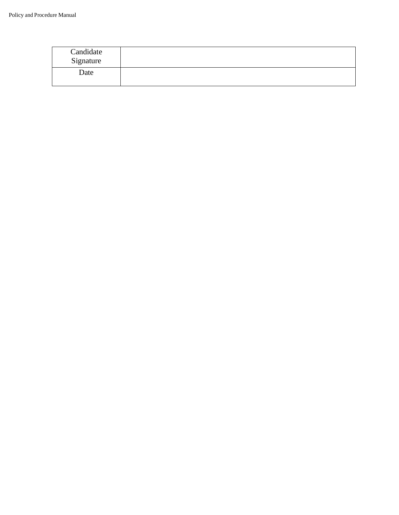| Candidate<br>Signature |  |
|------------------------|--|
| Date                   |  |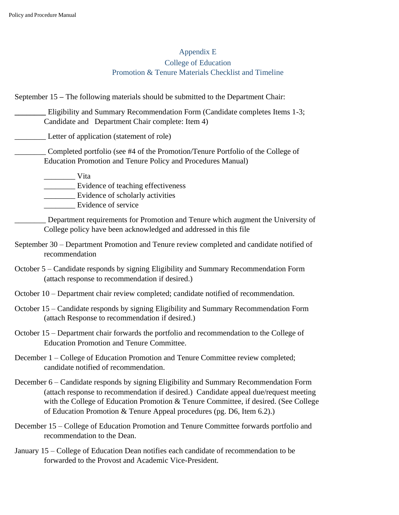# Appendix E College of Education Promotion & Tenure Materials Checklist and Timeline

September 15 **–** The following materials should be submitted to the Department Chair:

**\_\_\_\_\_\_\_\_** Eligibility and Summary Recommendation Form (Candidate completes Items 1-3; Candidate and Department Chair complete: Item 4)

Letter of application (statement of role)

\_\_\_\_\_\_\_\_ Completed portfolio (see #4 of the Promotion/Tenure Portfolio of the College of Education Promotion and Tenure Policy and Procedures Manual)

\_\_\_\_\_\_\_\_ Vita

\_\_\_\_\_\_\_\_ Evidence of teaching effectiveness

\_\_\_\_\_\_\_\_ Evidence of scholarly activities

Evidence of service

\_\_\_\_\_\_\_\_ Department requirements for Promotion and Tenure which augment the University of College policy have been acknowledged and addressed in this file

- September 30 Department Promotion and Tenure review completed and candidate notified of recommendation
- October 5 Candidate responds by signing Eligibility and Summary Recommendation Form (attach response to recommendation if desired.)
- October 10 Department chair review completed; candidate notified of recommendation.
- October 15 Candidate responds by signing Eligibility and Summary Recommendation Form (attach Response to recommendation if desired.)
- October 15 Department chair forwards the portfolio and recommendation to the College of Education Promotion and Tenure Committee.
- December 1 College of Education Promotion and Tenure Committee review completed; candidate notified of recommendation.
- December 6 Candidate responds by signing Eligibility and Summary Recommendation Form (attach response to recommendation if desired.) Candidate appeal due/request meeting with the College of Education Promotion & Tenure Committee, if desired. (See College of Education Promotion & Tenure Appeal procedures (pg. D6, Item 6.2).)
- December 15 College of Education Promotion and Tenure Committee forwards portfolio and recommendation to the Dean.
- January 15 College of Education Dean notifies each candidate of recommendation to be forwarded to the Provost and Academic Vice-President.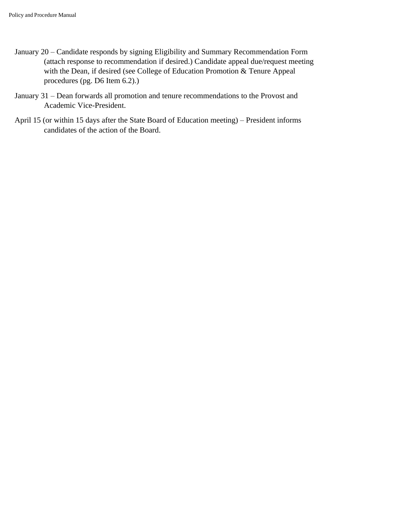- January 20 Candidate responds by signing Eligibility and Summary Recommendation Form (attach response to recommendation if desired.) Candidate appeal due/request meeting with the Dean, if desired (see College of Education Promotion & Tenure Appeal procedures (pg. D6 Item 6.2).)
- January 31 Dean forwards all promotion and tenure recommendations to the Provost and Academic Vice-President.
- April 15 (or within 15 days after the State Board of Education meeting) President informs candidates of the action of the Board.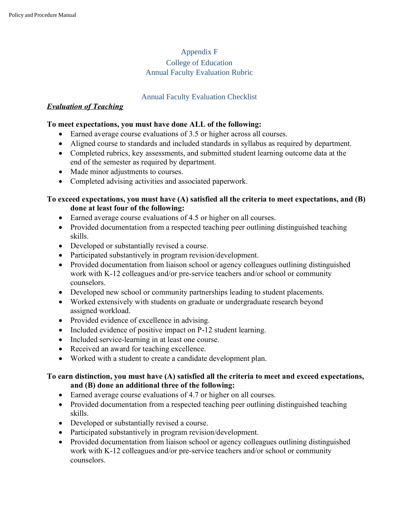# Appendix F

#### College of Education Annual Faculty Evaluation Rubric

### Annual Faculty Evaluation Checklist

#### *Evaluation of Teaching*

#### **To meet expectations, you must have done ALL of the following:**

- Earned average course evaluations of 3.5 or higher across all courses.
- Aligned course to standards and included standards in syllabus as required by department.
- Completed rubrics, key assessments, and submitted student learning outcome data at the end of the semester as required by department.
- Made minor adjustments to courses.
- Completed advising activities and associated paperwork.

### **To exceed expectations, you must have (A) satisfied all the criteria to meet expectations, and (B) done at least four of the following:**

- Earned average course evaluations of 4.5 or higher on all courses.
- Provided documentation from a respected teaching peer outlining distinguished teaching skills.
- Developed or substantially revised a course.
- Participated substantively in program revision/development.
- Provided documentation from liaison school or agency colleagues outlining distinguished work with K-12 colleagues and/or pre-service teachers and/or school or community counselors.
- Developed new school or community partnerships leading to student placements.
- Worked extensively with students on graduate or undergraduate research beyond assigned workload.
- Provided evidence of excellence in advising.
- Included evidence of positive impact on P-12 student learning.
- Included service-learning in at least one course.
- Received an award for teaching excellence.
- Worked with a student to create a candidate development plan.

#### **To earn distinction, you must have (A) satisfied all the criteria to meet and exceed expectations, and (B) done an additional three of the following:**

- Earned average course evaluations of 4.7 or higher on all courses.
- Provided documentation from a respected teaching peer outlining distinguished teaching skills.
- Developed or substantially revised a course.
- Participated substantively in program revision/development.
- Provided documentation from liaison school or agency colleagues outlining distinguished work with K-12 colleagues and/or pre-service teachers and/or school or community counselors.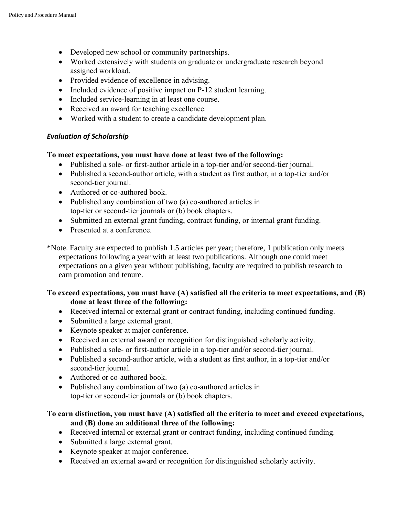- Developed new school or community partnerships.
- Worked extensively with students on graduate or undergraduate research beyond assigned workload.
- Provided evidence of excellence in advising.
- Included evidence of positive impact on P-12 student learning.
- Included service-learning in at least one course.
- Received an award for teaching excellence.
- Worked with a student to create a candidate development plan.

#### *Evaluation of Scholarship*

#### **To meet expectations, you must have done at least two of the following:**

- Published a sole- or first-author article in a top-tier and/or second-tier journal.
- Published a second-author article, with a student as first author, in a top-tier and/or second-tier journal.
- Authored or co-authored book.
- Published any combination of two (a) co-authored articles in top-tier or second-tier journals or (b) book chapters.
- Submitted an external grant funding, contract funding, or internal grant funding.
- Presented at a conference.
- \*Note. Faculty are expected to publish 1.5 articles per year; therefore, 1 publication only meets expectations following a year with at least two publications. Although one could meet expectations on a given year without publishing, faculty are required to publish research to earn promotion and tenure.

### **To exceed expectations, you must have (A) satisfied all the criteria to meet expectations, and (B) done at least three of the following:**

- Received internal or external grant or contract funding, including continued funding.
- Submitted a large external grant.
- Keynote speaker at major conference.
- Received an external award or recognition for distinguished scholarly activity.
- Published a sole- or first-author article in a top-tier and/or second-tier journal.
- Published a second-author article, with a student as first author, in a top-tier and/or second-tier journal.
- Authored or co-authored book.
- Published any combination of two (a) co-authored articles in top-tier or second-tier journals or (b) book chapters.

### **To earn distinction, you must have (A) satisfied all the criteria to meet and exceed expectations, and (B) done an additional three of the following:**

- Received internal or external grant or contract funding, including continued funding.
- Submitted a large external grant.
- Keynote speaker at major conference.
- Received an external award or recognition for distinguished scholarly activity.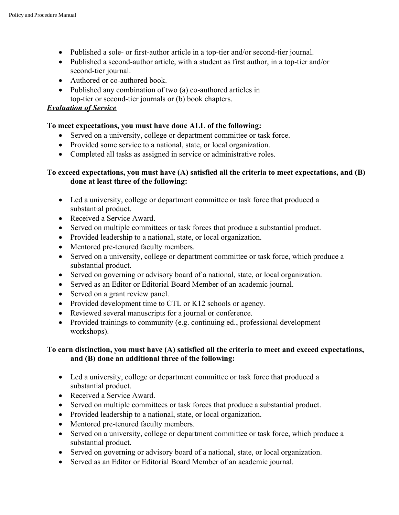- Published a sole- or first-author article in a top-tier and/or second-tier journal.
- Published a second-author article, with a student as first author, in a top-tier and/or second-tier journal.
- Authored or co-authored book.
- Published any combination of two (a) co-authored articles in top-tier or second-tier journals or (b) book chapters.

#### *Evaluation of Service*

#### **To meet expectations, you must have done ALL of the following:**

- Served on a university, college or department committee or task force.
- Provided some service to a national, state, or local organization.
- Completed all tasks as assigned in service or administrative roles.

#### **To exceed expectations, you must have (A) satisfied all the criteria to meet expectations, and (B) done at least three of the following:**

- Led a university, college or department committee or task force that produced a substantial product.
- Received a Service Award.
- Served on multiple committees or task forces that produce a substantial product.
- Provided leadership to a national, state, or local organization.
- Mentored pre-tenured faculty members.
- Served on a university, college or department committee or task force, which produce a substantial product.
- Served on governing or advisory board of a national, state, or local organization.
- Served as an Editor or Editorial Board Member of an academic journal.
- Served on a grant review panel.
- Provided development time to CTL or K12 schools or agency.
- Reviewed several manuscripts for a journal or conference.
- Provided trainings to community (e.g. continuing ed., professional development workshops).

#### **To earn distinction, you must have (A) satisfied all the criteria to meet and exceed expectations, and (B) done an additional three of the following:**

- Led a university, college or department committee or task force that produced a substantial product.
- Received a Service Award.
- Served on multiple committees or task forces that produce a substantial product.
- Provided leadership to a national, state, or local organization.
- Mentored pre-tenured faculty members.
- Served on a university, college or department committee or task force, which produce a substantial product.
- Served on governing or advisory board of a national, state, or local organization.
- Served as an Editor or Editorial Board Member of an academic journal.